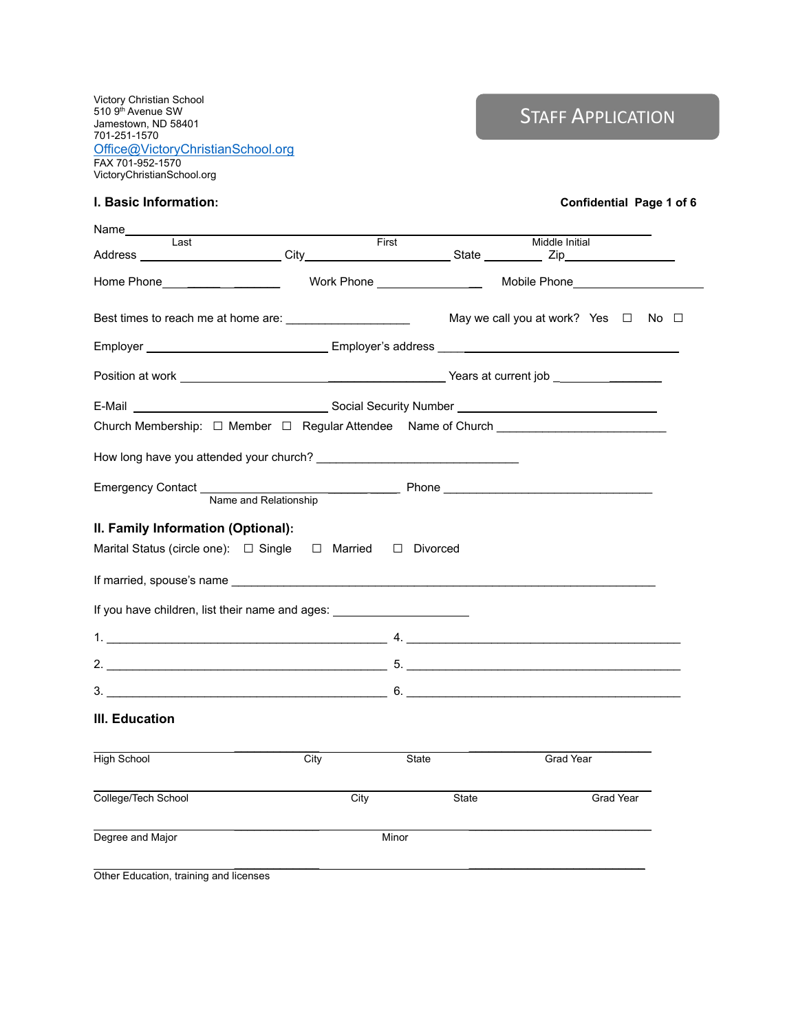Victory Christian School 510 9<sup>th</sup> Avenue SW Jamestown, ND 58401 701-251-1570 [Office@VictoryChristianSchool.org](mailto:Office@VictoryChristianSchool.org) FAX 701-952-1570 VictoryChristianSchool.org

# **STAFF APPLICATION**

| I ast                                                                                                                                                                                                                          |      | First                  |       | Middle Initial                                |  |
|--------------------------------------------------------------------------------------------------------------------------------------------------------------------------------------------------------------------------------|------|------------------------|-------|-----------------------------------------------|--|
| Home Phone <b>Example 20</b>                                                                                                                                                                                                   |      | Work Phone <b>Work</b> |       | Mobile Phone <b>Mobile</b>                    |  |
|                                                                                                                                                                                                                                |      |                        |       | May we call you at work? Yes $\Box$ No $\Box$ |  |
| Employer <b>Employer Employer's address Employer's address Employer Employer Employer Employer Employer Employer Employer Employer Employer Employer Employer Employer Employer Employer Emplo</b>                             |      |                        |       |                                               |  |
|                                                                                                                                                                                                                                |      |                        |       |                                               |  |
|                                                                                                                                                                                                                                |      |                        |       |                                               |  |
| Church Membership: □ Member □ Regular Attendee Name of Church ___________________                                                                                                                                              |      |                        |       |                                               |  |
|                                                                                                                                                                                                                                |      |                        |       |                                               |  |
| Emergency Contact Name and Relationship Phone Phone Phone Phone Phone Phone Phone Phone Phone Phone Phone Phone Phone Phone Phone Phone Phone Phone Phone Phone Phone Phone Phone Phone Phone Phone Phone Phone Phone Phone Ph |      |                        |       |                                               |  |
|                                                                                                                                                                                                                                |      |                        |       |                                               |  |
|                                                                                                                                                                                                                                |      | □ Married □ Divorced   |       |                                               |  |
|                                                                                                                                                                                                                                |      |                        |       |                                               |  |
|                                                                                                                                                                                                                                |      |                        |       |                                               |  |
|                                                                                                                                                                                                                                |      |                        |       |                                               |  |
|                                                                                                                                                                                                                                |      |                        |       |                                               |  |
|                                                                                                                                                                                                                                |      |                        |       |                                               |  |
|                                                                                                                                                                                                                                | City | <b>State</b>           |       | Grad Year                                     |  |
| II. Family Information (Optional):<br>Marital Status (circle one): □ Single<br>If you have children, list their name and ages: ________________________________<br>III. Education<br><b>High School</b><br>College/Tech School |      | City                   | State | Grad Year                                     |  |

Other Education, training and licenses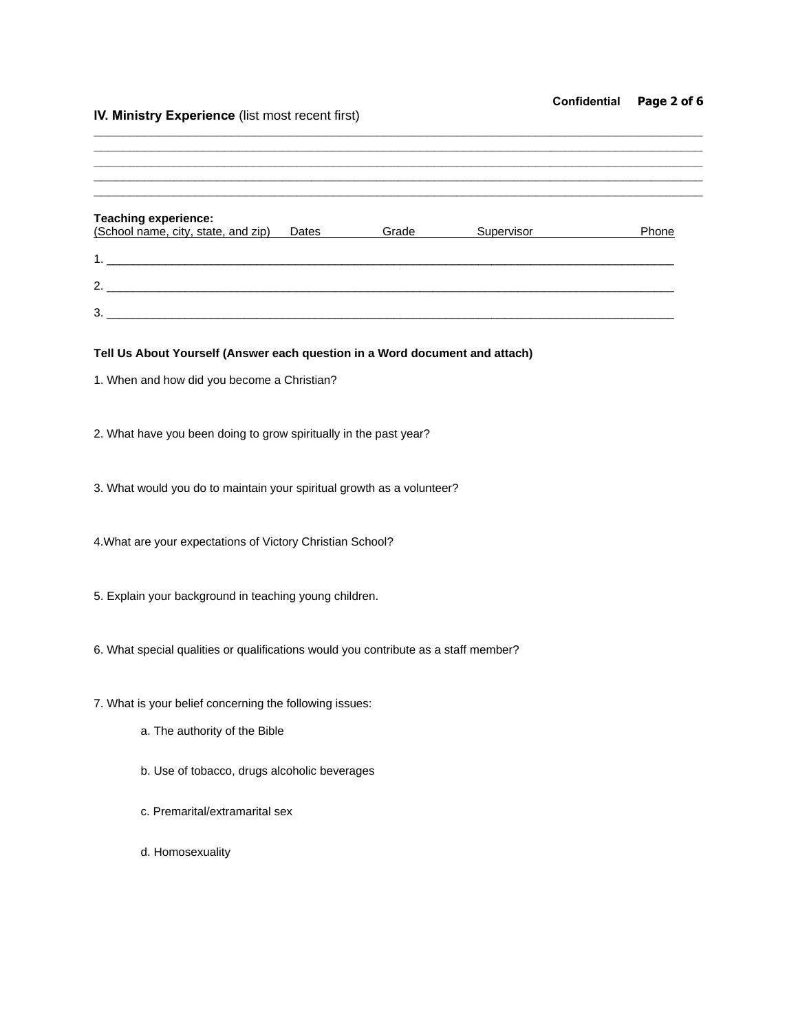# **Confidential Page 2 of 6**

# **lV. Ministry Experience** (list most recent first)

| <b>Teaching experience:</b><br>(School name, city, state, and zip) Dates Grade Supervisor |  | Phone |
|-------------------------------------------------------------------------------------------|--|-------|
|                                                                                           |  |       |
|                                                                                           |  |       |
|                                                                                           |  |       |
| Tell Us About Yourself (Answer each question in a Word document and attach)               |  |       |
| 1. When and how did you become a Christian?                                               |  |       |
|                                                                                           |  |       |
| 2. What have you been doing to grow spiritually in the past year?                         |  |       |
| 3. What would you do to maintain your spiritual growth as a volunteer?                    |  |       |
|                                                                                           |  |       |
| 4. What are your expectations of Victory Christian School?                                |  |       |
|                                                                                           |  |       |
| 5. Explain your background in teaching young children.                                    |  |       |
| 6. What special qualities or qualifications would you contribute as a staff member?       |  |       |
|                                                                                           |  |       |
| 7. What is your belief concerning the following issues:                                   |  |       |
| a. The authority of the Bible                                                             |  |       |
| b. Use of tobacco, drugs alcoholic beverages                                              |  |       |
| c. Premarital/extramarital sex                                                            |  |       |
|                                                                                           |  |       |
| d. Homosexuality                                                                          |  |       |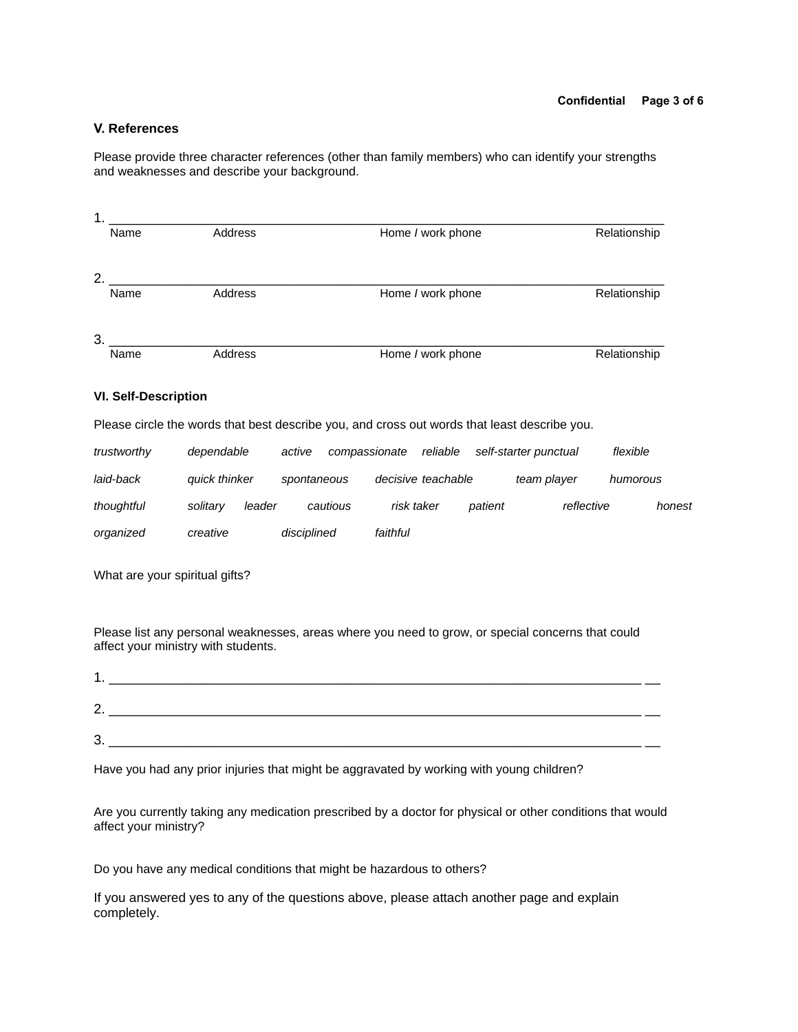### **V. References**

Please provide three character references (other than family members) who can identify your strengths and weaknesses and describe your background.

| 1. |      |         |                   |              |
|----|------|---------|-------------------|--------------|
|    | Name | Address | Home / work phone | Relationship |
| 2. |      |         |                   |              |
|    | Name | Address | Home / work phone | Relationship |
| 3. |      |         |                   |              |
|    | Name | Address | Home / work phone | Relationship |

#### **VI. Self-Description**

Please circle the words that best describe you, and cross out words that least describe you.

| trustworthy | dependable         | active<br>compassionate | reliable           | self-starter punctual |             | flexible |
|-------------|--------------------|-------------------------|--------------------|-----------------------|-------------|----------|
| laid-back   | quick thinker      | spontaneous             | decisive teachable |                       | team player | humorous |
| thoughtful  | leader<br>solitary | cautious                | risk taker         | patient               | reflective  | honest   |
| organized   | creative           | disciplined             | faithful           |                       |             |          |

What are your spiritual gifts?

Please list any personal weaknesses, areas where you need to grow, or special concerns that could affect your ministry with students.

| ົ<br><u>.</u> |  |
|---------------|--|
| 2<br>ັ        |  |

Have you had any prior injuries that might be aggravated by working with young children?

Are you currently taking any medication prescribed by a doctor for physical or other conditions that would affect your ministry?

Do you have any medical conditions that might be hazardous to others?

If you answered yes to any of the questions above, please attach another page and explain completely.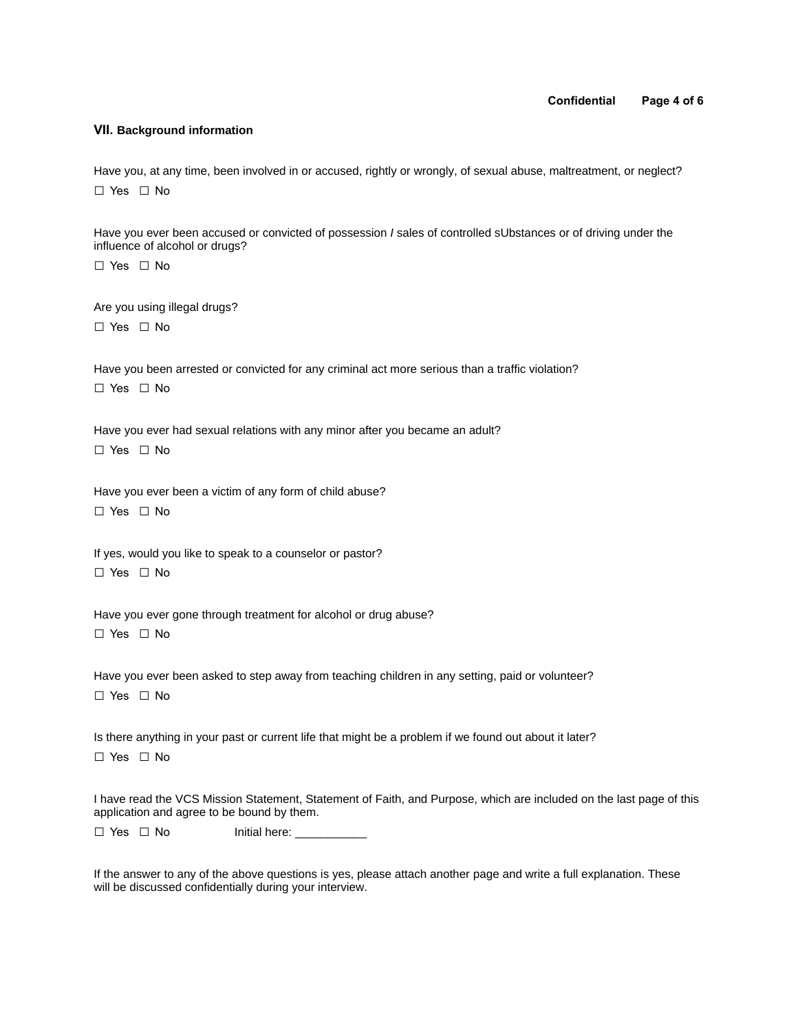#### **Confidential Page 4 of 6**

#### **VII. Background information**

Have you, at any time, been involved in or accused, rightly or wrongly, of sexual abuse, maltreatment, or neglect? □ Yes □ No

Have you ever been accused or convicted of possession *I* sales of controlled sUbstances or of driving under the influence of alcohol or drugs?

□ Yes □ No

Are you using illegal drugs? □ Yes □ No

Have you been arrested or convicted for any criminal act more serious than a traffic violation? □ Yes □ No

Have you ever had sexual relations with any minor after you became an adult? □ Yes □ No

Have you ever been a victim of any form of child abuse? □ Yes □ No

If yes, would you like to speak to a counselor or pastor? □ Yes □ No

Have you ever gone through treatment for alcohol or drug abuse? □ Yes □ No

Have you ever been asked to step away from teaching children in any setting, paid or volunteer? □ Yes □ No

Is there anything in your past or current life that might be a problem if we found out about it later? □ Yes □ No

I have read the VCS Mission Statement, Statement of Faith, and Purpose, which are included on the last page of this application and agree to be bound by them.

□ Yes □ No Initial here:

If the answer to any of the above questions is yes, please attach another page and write a full explanation. These will be discussed confidentially during your interview.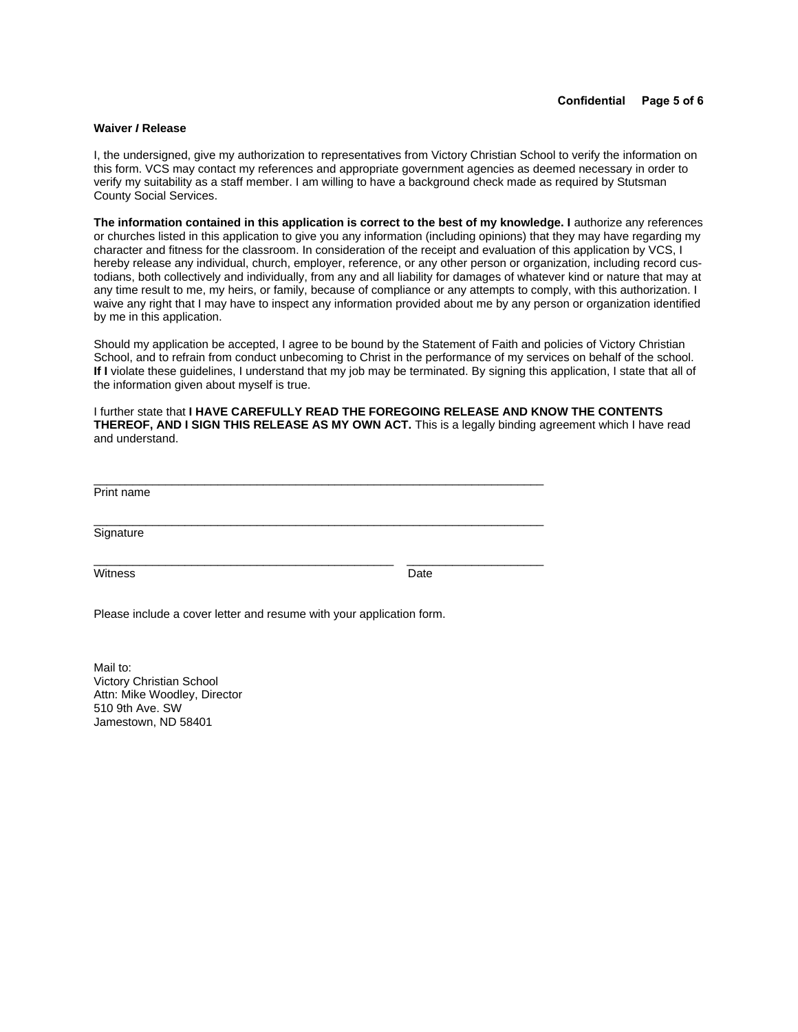#### **Waiver** *I* **Release**

I, the undersigned, give my authorization to representatives from Victory Christian School to verify the information on this form. VCS may contact my references and appropriate government agencies as deemed necessary in order to verify my suitability as a staff member. I am willing to have a background check made as required by Stutsman County Social Services.

The information contained in this application is correct to the best of my knowledge. I authorize any references or churches listed in this application to give you any information (including opinions) that they may have regarding my character and fitness for the classroom. In consideration of the receipt and evaluation of this application by VCS, I hereby release any individual, church, employer, reference, or any other person or organization, including record custodians, both collectively and individually, from any and all liability for damages of whatever kind or nature that may at any time result to me, my heirs, or family, because of compliance or any attempts to comply, with this authorization. I waive any right that I may have to inspect any information provided about me by any person or organization identified by me in this application.

Should my application be accepted, I agree to be bound by the Statement of Faith and policies of Victory Christian School, and to refrain from conduct unbecoming to Christ in the performance of my services on behalf of the school. **If I** violate these guidelines, I understand that my job may be terminated. By signing this application, I state that all of the information given about myself is true.

I further state that **I HAVE CAREFULLY READ THE FOREGOING RELEASE AND KNOW THE CONTENTS THEREOF, AND I SIGN THIS RELEASE AS MY OWN ACT.** This is a legally binding agreement which I have read and understand.

Print name

**Signature** 

Witness Date

Please include a cover letter and resume with your application form.

 $\overline{a}$  , and the state of the state of the state of the state of the state of the state of the state of the state of the state of the state of the state of the state of the state of the state of the state of the state o

 $\overline{a}$  , and the state of the state of the state of the state of the state of the state of the state of the state of the state of the state of the state of the state of the state of the state of the state of the state o

 $\overline{\phantom{a}}$  , and the set of the set of the set of the set of the set of the set of the set of the set of the set of the set of the set of the set of the set of the set of the set of the set of the set of the set of the s

Mail to: Victory Christian School Attn: Mike Woodley, Director 510 9th Ave. SW Jamestown, ND 58401